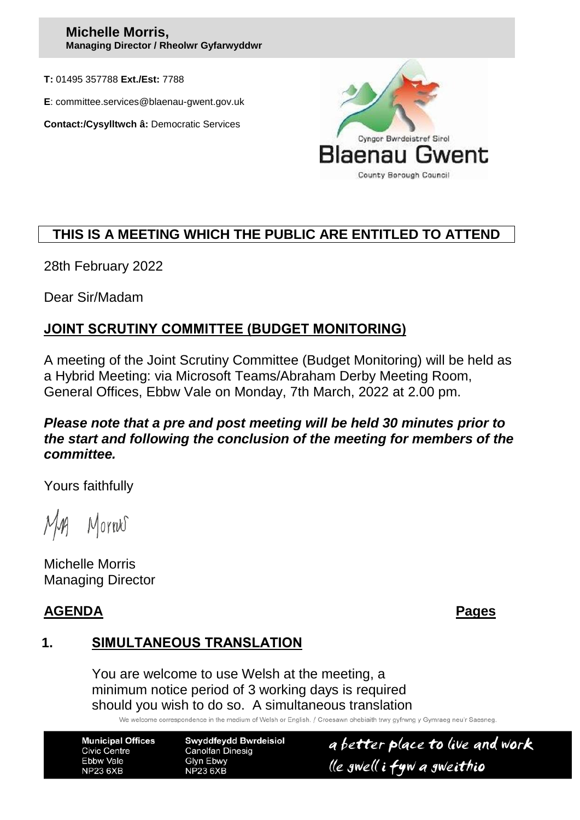### **Michelle Morris, Managing Director / Rheolwr Gyfarwyddwr**

**T:** 01495 357788 **Ext./Est:** 7788

**E**: committee.services@blaenau-gwent.gov.uk

**Contact:/Cysylltwch â:** Democratic Services



# **THIS IS A MEETING WHICH THE PUBLIC ARE ENTITLED TO ATTEND**

28th February 2022

Dear Sir/Madam

# **JOINT SCRUTINY COMMITTEE (BUDGET MONITORING)**

A meeting of the Joint Scrutiny Committee (Budget Monitoring) will be held as a Hybrid Meeting: via Microsoft Teams/Abraham Derby Meeting Room, General Offices, Ebbw Vale on Monday, 7th March, 2022 at 2.00 pm.

## *Please note that a pre and post meeting will be held 30 minutes prior to the start and following the conclusion of the meeting for members of the committee.*

Yours faithfully

Mornes

Michelle Morris Managing Director

## **AGENDA Pages**

# **1. SIMULTANEOUS TRANSLATION**

You are welcome to use Welsh at the meeting, a minimum notice period of 3 working days is required should you wish to do so. A simultaneous translation

We welcome correspondence in the medium of Welsh or English. / Croesawn ohebiaith trwy gyfrwng y Gymraeg neu'r Saesneg

**Municipal Offices Civic Centre** Ebbw Vale **NP23 6XB** 

**Swyddfeydd Bwrdeisiol Canolfan Dinesig Glyn Ebwy NP23 6XB** 

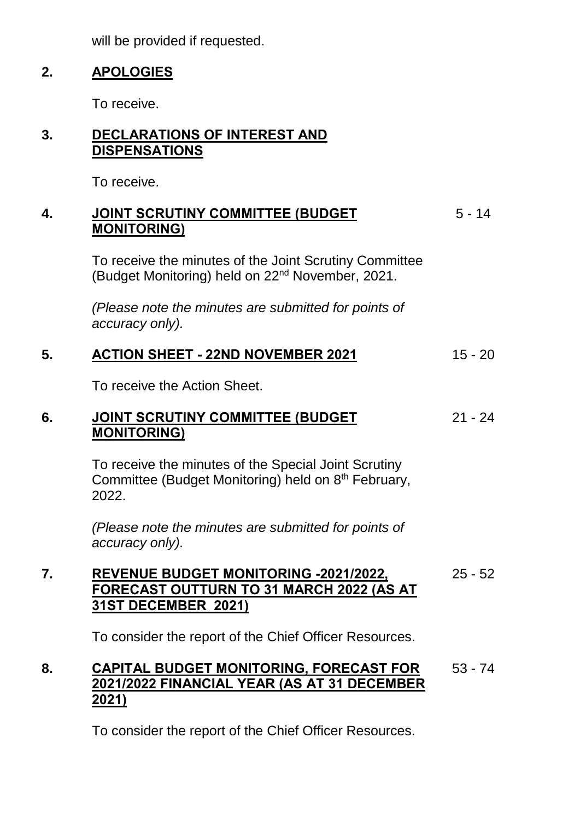will be provided if requested.

## **2. APOLOGIES**

To receive.

# **3. DECLARATIONS OF INTEREST AND DISPENSATIONS**

To receive.

#### **4. JOINT SCRUTINY COMMITTEE (BUDGET MONITORING)** 5 - 14

To receive the minutes of the Joint Scrutiny Committee (Budget Monitoring) held on 22nd November, 2021.

*(Please note the minutes are submitted for points of accuracy only).*

## **5. ACTION SHEET - 22ND NOVEMBER 2021** 15 - 20

To receive the Action Sheet.

#### **6. JOINT SCRUTINY COMMITTEE (BUDGET MONITORING)** 21 - 24

To receive the minutes of the Special Joint Scrutiny Committee (Budget Monitoring) held on 8<sup>th</sup> February, 2022.

*(Please note the minutes are submitted for points of accuracy only).*

### **7. REVENUE BUDGET MONITORING -2021/2022, FORECAST OUTTURN TO 31 MARCH 2022 (AS AT 31ST DECEMBER 2021)** 25 - 52

To consider the report of the Chief Officer Resources.

### **8. CAPITAL BUDGET MONITORING, FORECAST FOR 2021/2022 FINANCIAL YEAR (AS AT 31 DECEMBER 2021)** 53 - 74

To consider the report of the Chief Officer Resources.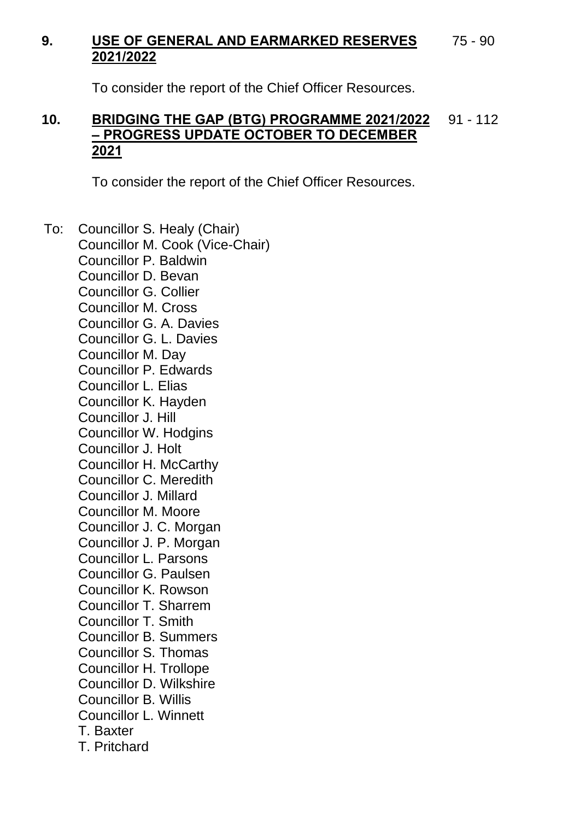#### **9. USE OF GENERAL AND EARMARKED RESERVES 2021/2022** 75 - 90

To consider the report of the Chief Officer Resources.

### **10. BRIDGING THE GAP (BTG) PROGRAMME 2021/2022 – PROGRESS UPDATE OCTOBER TO DECEMBER 2021** 91 - 112

To consider the report of the Chief Officer Resources.

To: Councillor S. Healy (Chair) Councillor M. Cook (Vice-Chair) Councillor P. Baldwin Councillor D. Bevan Councillor G. Collier Councillor M. Cross Councillor G. A. Davies Councillor G. L. Davies Councillor M. Day Councillor P. Edwards Councillor L. Elias Councillor K. Hayden Councillor J. Hill Councillor W. Hodgins Councillor J. Holt Councillor H. McCarthy Councillor C. Meredith Councillor J. Millard Councillor M. Moore Councillor J. C. Morgan Councillor J. P. Morgan Councillor L. Parsons Councillor G. Paulsen Councillor K. Rowson Councillor T. Sharrem Councillor T. Smith Councillor B. Summers Councillor S. Thomas Councillor H. Trollope Councillor D. Wilkshire Councillor B. Willis Councillor L. Winnett T. Baxter T. Pritchard